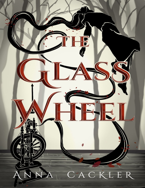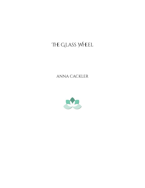# The Glass Wheel

ANNA CACKLER

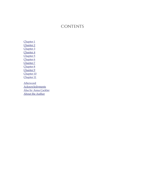#### **CONTENTS**

[Chapter 1](#page-3-0) [Chapter 2](#page-13-0) [Chapter 3](#page-16-0) [Chapter 4](#page-20-0) [Chapter 5](#page-25-0) [Chapter 6](#page-33-0) [Chapter 7](#page-38-0) [Chapter 8](#page-44-0) [Chapter 9](#page-47-0) [Chapter 10](#page-52-0) [Chapter 11](#page-58-0) **[Afterword](#page-61-0)** [Acknowledgments](#page-62-0) [Also by Anna Cackler](#page-63-0)

[About the Author](#page-65-0)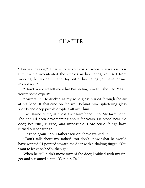## <span id="page-3-0"></span>CHAPTER I

"AURORA, PLEASE," CAEL SAID, HIS HANDS RAISED IN <sup>A</sup> HELPLESS GESture. Grime accentuated the creases in his hands, callused from working the flax day in and day out. "This feeling you have for me, it's not real."

"Don't you dare tell me what I'm feeling, Cael!" I shouted. "As if you're some expert!"

"Aurora…" He ducked as my wine glass hurled through the air at his head. It shattered on the wall behind him, splattering glass shards and deep purple droplets all over him.

Cael stared at me, at a loss. Our farm hand – no. My farm hand. The one I'd been daydreaming about for years. He stood near the door, beautiful, rugged, and impossible. How could things have turned out so wrong?

He tried again. "Your father wouldn't have wanted…"

"Don't talk about my father! You don't know what he would have wanted." I pointed toward the door with a shaking finger. "You want to leave so badly, then go!"

When he still didn't move toward the door, I jabbed with my finger and screamed again. "Get out, Cael!"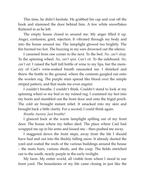This time, he didn't hesitate. He grabbed his cap and coat off the hook and slammed the door behind him. A few white snowflakes fluttered in as he left.

The empty house closed in around me. My anger filled it up. Anger, confusion, grief, rejection. It vibrated through my body and into the house around me. The lamplight glowed too brightly. The fire burned too hot. The buzzing in my ears drowned out the silence.

I careened from one corner to the next. To the bed. *No, can't sleep.* To the spinning wheel. *No, can't spin. Can't sit.* To the sideboard. *No, can't eat.* I raised the half full bottle of wine to my lips, but the memory of Cael's wine-soaked breath nauseated me. I shrieked and threw the bottle to the ground, where the contents gurgled out onto the woolen rug. The purple stain spread like blood over the simple striped pattern, and that made me even angrier.

I couldn't breathe. I couldn't think. Couldn't stand to look at my spinning wheel or my bed or my ruined rug. I crammed my feet into my boots and stumbled out the front door and onto the frigid porch. The cold air brought instant relief. It smacked into my skin and brought back a little clarity. For a second, I could think again.

#### *Breathe Aurora. Just breathe!*

I glanced back at the warm lamplight spilling out of my front door. The house where my father died. The place where Cael had wrapped me up in his arms and kissed me – then pushed me away.

I staggered down the front steps, away from the life I should have had and out into the thickly falling snow. It already dusted the yard and coated the roofs of the various buildings around the house – the main barn, various sheds, and the coop. The fields stretched out to the south, nearly purple in the early twilight.

My farm. My entire world, all visible from where I stood in our front yard. The boundaries of my life came closing in just like the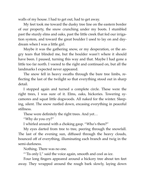walls of my house. I had to get out, had to get away.

My feet took me toward the dusky tree line on the eastern border of our property, the snow crunching under my boots. I stumbled past the sturdy elms and oaks, past the little creek that fed our irrigation system, and toward the great boulder I used to lay on and daydream when I was a little girl.

Maybe it was the gathering snow, or my desperation, or the angry tears that blinded me, but the boulder wasn't where it should have been. I paused, turning this way and that. Maybe I had gone a little too far north. I veered to the right and continued on, but all the landmarks I expected never appeared.

The snow fell in heavy swaths through the bare tree limbs, reflecting the last of the twilight so that everything stood out in sharp detail.

I stopped again and turned a complete circle. These were the right trees, I was sure of it. Elms, oaks, hickories. Towering sycamores and squat little dogwoods. All naked for the winter. Sleeping, silent. The snow rustled down, encasing everything in peaceful stillness.

These were definitely the right trees. And yet…

"Why do you cry?"

I whirled around with a choking gasp. "Who's there?"

My eyes darted from tree to tree, peering through the snowfall. The last of the evening sun, diffused through the heavy clouds, bounced off of everything, illuminating each branch and twig in the semi-darkness.

Nothing. There was no one.

"'Tis only I," said the voice again, smooth and cool as ice.

Four long fingers appeared around a hickory tree about ten feet away. They wrapped around the rough bark slowly, laying down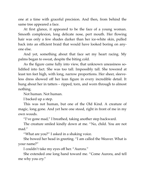one at a time with graceful precision. And then, from behind the same tree appeared a face.

At first glance, it appeared to be the face of a young woman. Smooth complexion, long delicate nose, pert mouth. Her flowing hair was only a few shades darker than her ice-white skin, pulled back into an efficient braid that would have looked boring on anyone else.

And yet, something about that face set my heart racing. My palms began to sweat, despite the biting cold.

As the figure came fully into view, that unknown uneasiness solidified into fact. She was too tall. Impossibly tall. She towered at least ten feet high, with long, narrow proportions. Her sheer, sleeveless dress showed off her lean figure in every incredible detail. It hung about her in tatters – ripped, torn, and worn through to almost nothing.

Not human. Not human.

I backed up a step.

This was not human, but one of the Old Kind. A creature of magic, long gone. And yet here one stood, right in front of me in my own woods.

"I've gone mad," I breathed, taking another step backward.

The creature smiled kindly down at me. "No, child. You are not mad."

"What are you?" I asked in a shaking voice.

She bowed her head in greeting. "I am called the Weaver. What is your name?"

I couldn't take my eyes off her. "Aurora."

She extended one long hand toward me. "Come Aurora, and tell me why you cry."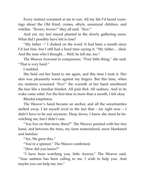Every instinct screamed at me to run. All my life I'd heard warnings about the Old Kind, crones, sibyls, unnatural children, and witches. *"Beware, beware!"* they all said. *"Run!"*

And yet, my feet stayed planted in the slowly gathering snow. What did I possibly have left to lose?

"My father –" I choked on the word. It had been a month since I'd lost him, but I still had a hard time saying it. "My father… died. And the man who I thought… Well, he left me, too."

The Weaver frowned in compassion. "Poor little thing," she said. "That is very hard."

I nodded.

She held out her hand to me again, and this time I took it. Her skin was pleasantly warm against my fingers. But this time, when my instincts screamed *"Run!"* the warmth of her hand smothered the fear like a familiar blanket. All pain fled. All sadness. And in its wake came relief. For the first time in more than a month, I felt okay.

Blissful emptiness.

The Weaver's hand became an anchor, and all the uncertainties melted away. I let myself revel in the fact that  $-$  for right now  $-$  I didn't have to be sad anymore. Deep down, I knew she must be bewitching me, but I didn't care.

"You live on that farm, there?" The Weaver pointed with her free hand, and between the trees, my farm materialized, snow blanketed and familiar.

"Yes. We grow flax."

"You're a spinner," The Weaver confirmed.

"How did you know?"

"I have been watching you, little Aurora," The Weaver said. "Your sadness has been calling to me. I wish to help you. And maybe you can help me, too."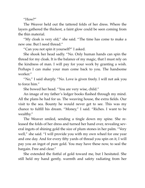"How?"

The Weaver held out the tattered folds of her dress. Where the layers gathered the thickest, a faint glow could be seen coming from the thin material.

"My cloak is very old," she said. "The time has come to make a new one. But I need thread."

"Can you not spin it yourself?" I asked.

She shook her head sadly. "No. Only human hands can spin the thread for my cloak. It is the balance of my magic, that I must rely on the kindness of man. I will pay for your work by granting a wish. Perhaps I can make your man come back to you. The handsome worker."

"No," I said sharply. "No. Love is given freely. I will not ask you to force him."

She bowed her head. "You are very wise, child."

An image of my father's ledger books flashed through my mind. All the plans he had for us. The weaving house, the extra fields. Our visit to the sea. Bounty he would never get to see. This was my chance to fulfill his dream. "Money," I said. "Riches. I want to be wealthy."

The Weaver smiled, sending a tingle down my spine. She released the folds of her dress and turned her hand over, revealing several ingots of shining gold the size of plum stones in her palm. "Very well," she said. "I will provide you with my own wheel for one year and one day. And for every fifty yards of thread you spin on it, I will pay you an ingot of pure gold. You may have these now, to seal the bargain. Free and clear."

She extended the fistful of gold toward me, but I hesitated. She still held my hand gently, warmth and safety radiating from her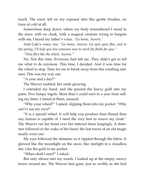touch. The snow fell on my exposed skin like gentle brushes, no trace of cold at all.

Somewhere deep down, where my body remembered I stood in the snow with no cloak, with a magical creature trying to bargain with me, I heard my father's voice. *"Go home, Aurora."*

And Cale's voice, too. *"Go home, Aurora. Go spin your flax, and in the spring, I'll help you hire someone new to work the fields for you."*

*"Time flies like the wheel, Aurora."*

No. Not this time. Everyone had left me. They didn't get to tell me what to do anymore. This time, I decided. And it was time for the wheel to stop. Time for me to break away from this crushing sadness. This was my way out.

"A year and a day?"

The Weaver nodded, her smile growing.

I extended my hand, and she poured the heavy gold into my palm. Five lumpy ingots. More than I could earn in a year from selling my linen. I stared at them, amazed.

"Why your wheel?" I asked, slipping them into my pocket. "Why can't I use my own?"

"It is a special wheel. It will help you produce finer thread than any human is capable of. I need the very best to weave my cloak." The Weaver ran her hand over her tattered dress longingly. A shimmer followed in the wake of her hand, the last traces of an old magic nearly worn out.

My eyes followed the shimmer as it rippled through the fabric. It glowed like the moonlight on the snow, like starlight in a cloudless sky. Like the gold in my pocket.

"When shall I start?" I asked.

But only silence met my words. I looked up at the empty, snowy forest around me. The Weaver had gone, just as swiftly as she had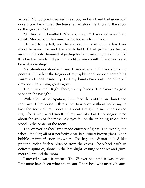arrived. No footprints marred the snow, and my hand had gone cold once more. I examined the tree she had stood next to and the snow on the ground. Nothing.

"A dream," I breathed. "Only a dream." I was exhausted. Or drunk. Maybe both. Too much wine, too much confusion.

I turned to my left, and there stood my farm. Only a few trees stood between me and the south field. I had gotten so turned around. I'd only dreamed of getting lost and meeting one of the Old Kind in the woods. I'd just gone a little ways south. The snow could be so disorienting.

My shoulders slouched, and I tucked my cold hands into my pockets. But when the fingers of my right hand brushed something warm and hard inside, I jerked my hands back out. Tentatively, I drew out the shining gold ingots.

They were real. Right there, in my hands, The Weaver's gold shone in the twilight.

With a jolt of anticipation, I clutched the gold in one hand and ran toward the house. I threw the door open without bothering to kick the snow off my boots and went straight to my wine-soaked rug. The sweet, acrid smell hit my nostrils, but I no longer cared about the stain or the mess. My eyes fell on the spinning wheel that stood in the center of the room.

The Weaver's wheel was made entirely of glass. The treadle, the wheel, the flier, all of it perfectly clear, beautifully blown glass. Not a bubble or imperfection anywhere. The legs and distaff looked like pristine icicles freshly plucked from the eaves. The wheel, with its delicate spindles, shone in the lamplight, casting shadows and glimmers all around the room.

I moved toward it, unsure. The Weaver had said it was special. This must have been what she meant. The wheel was utterly beauti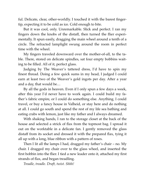ful. Delicate, clear, other-worldly. I touched it with the barest fingertip, expecting it to be cold as ice. Cold enough to bite.

But it was cool, only. Unremarkable. Slick and perfect. I ran my fingers down the knobs of the distaff, then turned the flier experimentally. It spun easily, dragging the main wheel around a tenth of a circle. The refracted lamplight swung around the room in perfect time with the wheel.

My fingers traveled downward over the mother-of-all, to the table. There, stored on delicate spindles, sat four empty bobbins waiting to be filled. All of it, perfect glass.

Judging by The Weaver's tattered dress, I'd have to spin my finest thread. Doing a few quick sums in my head, I judged I could earn at least two of the Weaver's gold ingots per day. After a year and a day, that would be…

By all the gods in heaven. Even if I only spun a few days a week, after this year I'd never have to work again. I could build my father's fabric empire, or I could do something else. Anything. I could travel, or buy a fancy house in Valheid, or stay here and do nothing at all. I could go south and spend the rest of my life sea bathing and eating crabs with lemon, just like my father and I always dreamed.

With shaking hands, I ran to the storage closet at the back of the house and selected a strick of flax from the topmost bag. I spread it out on the worktable in a delicate fan. I gently removed the glass distaff from its socket and dressed it with the prepared flax, tying it all up with a long, blue ribbon with a pattern of roses.

Then I lit all the lamps I had, dragged my father's chair – no. My chair. I dragged my chair over to the glass wheel, and inserted the first bobbin into the flier. I tied a new leader onto it, attached my first strands of flax, and began treadling.

*Treadle, treadle. Draft, twist. Shhh!*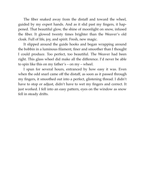The fiber snaked away from the distaff and toward the wheel, guided by my expert hands. And as it slid past my fingers, it happened. That beautiful glow, the shine of moonlight on snow, infused the fiber. It glowed twenty times brighter than the Weaver's old cloak. Full of life, joy, and spirit. Fresh, new magic.

It slipped around the guide hooks and began wrapping around the bobbin in a luminous filament, finer and smoother than I thought I could produce. Too perfect, too beautiful. The Weaver had been right. This glass wheel did make all the difference. I'd never be able to spin like this on my father's – on my – wheel.

I spun for several hours, entranced by how easy it was. Even when the odd snarl came off the distaff, as soon as it passed through my fingers, it smoothed out into a perfect, glistening thread. I didn't have to stop or adjust, didn't have to wet my fingers and correct. It just worked. I fell into an easy pattern, eyes on the window as snow fell in steady drifts.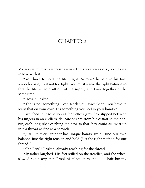## <span id="page-13-0"></span>CHAPTER 2

MY FATHER TAUGHT ME TO SPIN WHEN I WAS FIVE YEARS OLD, AND I FELL in love with it.

"You have to hold the fiber tight, Aurora," he said in his low, smooth voice, "but not too tight. You must strike the right balance so that the fibers can draft out of the supply and twist together at the same time."

"How?" I asked.

"That's not something I can teach you, sweetheart. You have to learn that on your own. It's something you feel in your hands."

I watched in fascination as the yellow-gray flax slipped between his fingers in an endless, delicate stream from his distaff to the bobbin, each long fiber catching the next so that they could all twist up into a thread as fine as a cobweb.

"Just like every spinner has unique hands, we all find our own balance. Just the right tension and hold. Just the right method for our thread."

"Can I try?" I asked, already reaching for the thread.

My father laughed. His feet stilled on the treadles, and the wheel slowed to a heavy stop. I took his place on the padded chair, but my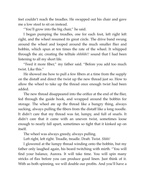feet couldn't reach the treadles. He swapped out his chair and gave me a low stool to sit on instead.

"You'll grow into the big chair," he said.

I began pumping the treadles, one for each foot, left right left right, and the wheel resumed its great circle. The drive band swung around the wheel and looped around the much smaller flier and bobbin, which spun at ten times the rate of the wheel. It whipped through the air, creating the telltale *shhhhh!!* sound that I had been listening to all my short life.

"Feed it more fiber," my father said. "Before you add too much twist. Like this."

He showed me how to pull a few fibers at a time from the supply on the distaff and direct the twist up the new thread just so. How to allow the wheel to take up the thread once enough twist had been added.

The new thread disappeared into the orifice at the end of the flier, fed through the guide hook, and wrapped around the bobbin for storage. The wheel ate up the thread like a hungry thing, always sucking, always pulling the fibers from the distaff like a long noodle. It didn't care that my thread was fat, lumpy, and full of snarls. It didn't care that it came with an uneven twist, sometimes loose enough to nearly fall apart, sometimes so tight that it kinked up on itself.

The wheel was always greedy, always pulling.

Left right, left right. Treadle, treadle. Draft. Twist. *Shhh!*

I glowered at the lumpy thread winding onto the bobbin, but my father only laughed again, his beard twitching with mirth. "You will find your balance, Aurora. It will take time. You will spin many stricks of flax before you can produce good linen. Just think of it. With us both spinning, we will double our profits. And you'll have a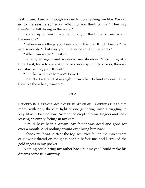real future, Aurora. Enough money to do anything we like. We can go to the seaside someday. What do you think of that? They say there's merfolk living in the water."

I stared up at him in wonder. "Do you think that's true? About the merfolk?"

"Believe everything you hear about the Old Kind, Aurora," he said seriously. "That way you'll never be caught unawares."

"When can we go?" I asked.

He laughed again and squeezed my shoulder. "One thing at a time. First, learn to spin. And once you've spun fifty stricks, then we can start selling your thread."

"But that will take forever!" I cried.

He tucked a strand of my light brown hair behind my ear. "Time flies like the wheel, Aurora."

 $\sim$ 

I SUCKED IN <sup>A</sup> BREATH AND SAT UP IN MY CHAIR. DARKNESS FILLED THE room, with only the dim light of one guttering lamp struggling to stay lit as it burned low. Adrenaline crept into my fingers and toes, leaving an empty feeling in my core.

It must have been a dream. My father was dead and gone for over a month. And nothing would ever bring him back.

I shook my head to clear the fog. My eyes fell on the thin stream of glowing thread on the glass bobbin before me, and I stroked the gold ingots in my pocket.

Nothing could bring my father back, but maybe I could make his dreams come true anyway.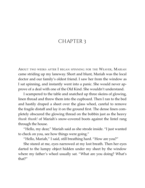#### <span id="page-16-0"></span>CHAPTER 3

ABOUT TWO WEEKS AFTER I BEGAN SPINNING FOR THE WEAVER, MARIAH came striding up my laneway. Short and blunt, Mariah was the local doctor and our family's oldest friend. I saw her from the window as I sat spinning, and instantly went into a panic. She would never approve of a deal with one of the Old Kind. She wouldn't understand.

I scampered to the table and snatched up three skeins of glowing, linen thread and threw them into the cupboard. Then I ran to the bed and hastily draped a sheet over the glass wheel, careful to remove the fragile distaff and lay it on the ground first. The dense linen completely obscured the glowing thread on the bobbin just as the heavy *thunk thunk!* of Mariah's snow-covered boots against the lintel rang through the house.

"Hello, my dear," Mariah said as she strode inside. "I just wanted to check on you, see how things were going."

"Hello, Mariah," I said, still breathing hard. "How are you?"

She stared at me, eyes narrowed at my lost breath. Then her eyes darted to the lumpy object hidden under my sheet by the window where my father's wheel usually sat. "What are you doing? What's that?"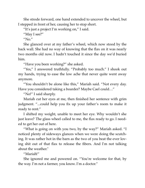She strode forward, one hand extended to uncover the wheel, but I stepped in front of her, causing her to stop short.

"It's just a project I'm working on," I said.

"May I see?"

" $No."$ 

She glanced over at my father's wheel, which now stood by the back wall. She had no way of knowing that the flax on it was nearly two months old now. I hadn't touched it since the day we'd buried him.

"Have you been working?" she asked.

"Yes," I answered truthfully. "Probably too much." I shook out my hands, trying to ease the low ache that never quite went away anymore.

"You shouldn't be alone like this," Mariah said. "Not every day. Have you considered taking a boarder? Maybe Cael could…"

"No!" I said sharply.

Mariah cut her eyes at me, then finished her sentence with grim judgment. "...could help you fix up your father's room to make it ready to rent."

I shifted my weight, unable to meet her eye. Why wouldn't she just leave? The glass wheel called to me, the flax ready to go. I needed to get her out of here.

"What is going on with you two, by the way?" Mariah asked. "I noticed plenty of sideways glances when we were doing the scutching. It was rather hot in the barn as the two of you beat the ever loving shit out of that flax to release the fibers. And I'm not talking about the weather."

"Mariah!"

She ignored me and powered on. "You're welcome for that, by the way. I'm not a farmer, you know. I'm a doctor."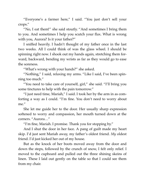"Everyone's a farmer here," I said. "You just don't sell your crops."

"No, I eat them!" she said stoutly. "And sometimes I bring them to you. And sometimes I help you scutch your flax. What is wrong with you, Aurora? Is it your father?"

I sniffed heavily. I hadn't thought of my father once in the last two weeks. All I could think of was the glass wheel. I should be spinning right now. I shook out my hands again, stretching them forward, backward, bending my wrists as far as they would go to ease the soreness.

"What's wrong with your hands?" she asked.

"Nothing," I said, relaxing my arms. "Like I said, I've been spinning too much."

"You need to take care of yourself, girl," she said. "I'll bring you some tinctures to help with the pain tomorrow."

"I just need time, Mariah," I said. I took her by the arm in as comforting a way as I could. "I'm fine. You don't need to worry about me."

She let me guide her to the door. Her usually sharp expression softened to worry and compassion, her mouth turned down at the corners. "Aurora…"

"I'm fine, Mariah. I promise. Thank you for stopping by."

And I shut the door in her face. A pang of guilt made my heart skip. I'd just sent Mariah away, my father's oldest friend. *My* oldest friend. I'd just kicked her out of my house.

But as the knock of her boots moved away from the door and down the steps, followed by the crunch of snow, I felt only relief. I moved to the cupboard and pulled out the three shining skeins of linen. These I laid out gently on the table so that I could see them from my chair.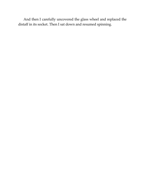And then I carefully uncovered the glass wheel and replaced the distaff in its socket. Then I sat down and resumed spinning.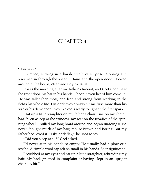### <span id="page-20-0"></span>CHAPTER 4

#### "AURORA?"

I jumped, sucking in a harsh breath of surprise. Morning sun streamed in through the sheer curtains and the open door. I looked around at the house, clean and tidy as usual.

It was the morning after my father's funeral, and Cael stood near the front door, his hat in his hands. I hadn't even heard him come in. He was taller than most, and lean and strong from working in the fields his whole life. His dark eyes always hit me first, more than his size or his demeanor. Eyes like coals ready to light at the first spark.

I sat up a little straighter on my father's chair – no, on my chair. I had fallen asleep at the window, my feet on the treadles of the spinning wheel. I pulled my long braid around and began undoing it. I'd never thought much of my hair, mouse brown and boring. But my father had loved it. "Like dark flax," he used to say.

"Did you sleep at all?" Cael asked.

I'd never seen his hands so empty. He usually had a plow or a scythe. A simple wool cap felt so small in his hands. So insignificant.

I scrubbed at my eyes and sat up a little straighter, rebraiding my hair. My back groaned in complaint at having slept in an upright chair. "A bit."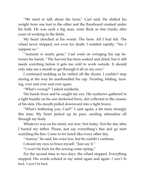"We need to talk about the farm," Cael said. He shifted his weight from one foot to the other and the floorboard creaked under his bulk. He was such a big man, arms thick as tree trunks after years of working in the fields.

My heart clenched at his words. The farm. All I had left. The wheel never stopped, not even for death. I nodded rapidly. "Yes. I suppose so."

"Autumn is nearly gone," Cael went on wringing his cap between his hands. "The harvest has been soaked and dried, but it still needs scutching before it gets too cold to work outside. It should only take me a month to get through it all on my own."

I continued nodding as he rattled off the chores. I couldn't stop staring at the way he manhandled his cap. Twisting, folding, turning, over and over and over again.

"What's wrong?" I asked suddenly.

His hands froze and he caught my eye. His eyebrows gathered in a tight bundle on his sun darkened brow, dirt collected in the creases of his skin. His mouth pulled downward into a tight frown.

"What's bothering you, Cael?" I said again, a bit more strongly this time. My heart picked up its pace, sending adrenaline all through my body.

Whatever was on his mind, not now. Not today. Not the day after I buried my father. Please, just say everything's fine and go start scutching the flax. Come in for lunch like every other day.

"Aurora," he said, his voice low, but he couldn't continue.

I closed my eyes to brace myself. "Just say it."

"I won't be back for the sowing come spring."

For the second time in two days, the wheel stopped. Everything stopped. His words echoed in my mind again and again. *I won't be back. I won't be back.*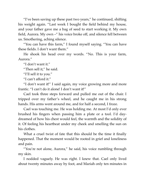"I've been saving up these past two years," he continued, shifting his weight again. "Last week I bought the field behind my house, and your father gave me a bag of seed to start working it. My own field, Aurora. My own –" his voice broke off, and silence fell between us. Smothering, aching silence.

"You can have this farm," I found myself saying. "You can have these fields. I don't want them."

He shook his head over my words. "No. This is your farm, Aurora."

"I don't want it."

"Then sell it," he said.

"I'll sell it to you."

"I can't afford it."

"I don't want it!" I said again, my voice growing more and more frantic. "I can't do it alone! I don't want it!"

Cael took three steps forward and pulled me out of the chair. I tripped over my father's wheel, and he caught me in his strong hands. His arms went around me, and for half a second, I froze.

Cael was touching me. He was holding me. At most I'd only ever brushed his fingers when passing him a plate or a tool. I'd daydreamed of how his chest would feel, the warmth and the solidity of it. Of feeling his heartbeat under my cheek and smelling the sun on his clothes.

What a cruel twist of fate that this should be the time it finally happened. That the moment would be rooted in grief and loneliness and pain.

"You're not alone, Aurora," he said, his voice rumbling through my skin.

I nodded vaguely. He was right. I knew that. Cael only lived about twenty minutes away by foot, and Mariah only ten minutes in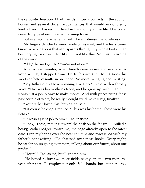the opposite direction. I had friends in town, contacts in the auction house, and several dozen acquaintances that would undoubtedly lend a hand if I asked. I'd lived in Barano my entire life. One could never truly be alone in a small farming town.

But even so, the ache remained. The emptiness, the loneliness.

My fingers clutched around wads of his shirt, and the tears came. Great, wracking sobs that sent spasms through my whole body. I had been crying for days, it felt like, but not like this. Not this upturning of the world.

"Shh," he said gently. "You're not alone."

After a few minutes, when breath came easier and my face relaxed a little, I stepped away. He let his arms fall to his sides, his wool cap held casually in one hand. No more wringing and twisting.

"My father didn't love spinning like I do," I said with a throaty voice. "Flax was his mother's trade, and he grew up with it. To him, it was just a job. A way to make money. And with prices rising these past couple of years, he really thought we'd make it big, finally."

"Your father loved this farm," Cael said.

"Of course he did," I replied. "This was his home. These were his fields."

"It wasn't just a job to him," Cael insisted.

"Look," I said, moving toward the desk on the far wall. I pulled a heavy, leather ledger toward me, the page already open to the latest date. I ran my hands over the neat columns and rows filled with my father's handwriting. "He obsessed over these books. Every night, he sat for hours going over them, talking about our future, about our profits."

"Hours?" Cael asked, but I ignored him.

"He hoped to buy two more fields next year, and two more the year after that. To employ not only field hands, but spinners, too.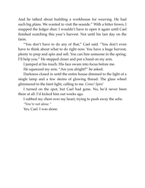And he talked about building a workhouse for weaving. He had such big plans. We wanted to visit the seaside." With a bitter frown, I snapped the ledger shut. I wouldn't have to open it again until Cael finished scutching this year's harvest. Not until his last day on the farm.

"You don't have to do any of that," Cael said. "You don't even have to think about what to do right now. You have a huge harvest, plenty to prep and spin and sell. You can hire someone in the spring. I'll help you." He stepped closer and put a hand on my arm.

I jumped at his touch. His face swam into focus before me.

He squeezed my arm. "Are you alright?" he asked.

Darkness closed in until the entire house dimmed to the light of a single lamp and a few skeins of glowing thread. The glass wheel glimmered in the faint light, calling to me. *Come! Spin!*

I turned on the spot, but Cael had gone. No, he'd never been there at all. I'd kicked him out weeks ago.

I rubbed my chest over my heart, trying to push away the ache. *"You're not alone."*

Yes, Cael. I was alone.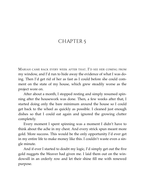## <span id="page-25-0"></span>CHAPTER 5

MARIAH CAME BACK EVERY WEEK AFTER THAT. I'<sup>D</sup> SEE HER COMING FROM my window, and I'd run to hide away the evidence of what I was doing. Then I'd get rid of her as fast as I could before she could comment on the state of my house, which grew steadily worse as the project wore on.

After about a month, I stopped resting and simply resumed spinning after the housework was done. Then, a few weeks after that, I started doing only the bare minimum around the house so I could get back to the wheel as quickly as possible. I cleaned just enough dishes so that I could eat again and ignored the growing clutter completely.

Every moment I spent spinning was a moment I didn't have to think about the ache in my chest. And every strick spun meant more gold. More success. This would be the only opportunity I'd ever get in my entire life to make money like this. I couldn't waste even a single minute.

And if ever I started to doubt my logic, I'd simply get out the five gold nuggets the Weaver had given me. I laid them out on the windowsill in an orderly row and let their shine fill me with renewed purpose.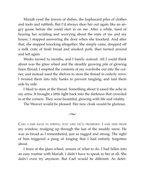Mariah eyed the towers of dishes, the haphazard piles of clothes and tools and rubbish. But I'd always shoo her out again like an angry goose before she could start in on me. After a while, tired of hearing her scolding and worrying about the state of me and my house, I stopped answering the door when she knocked. And after that, she stopped knocking altogether. She simply came, dropped off a milk crate of fresh bread and smoked pork, then turned around and left again.

Weeks turned to months, and I barely noticed. All I could think about was the glass wheel and the steadily growing pile of glowing linen thread. I emptied the contents of my wardrobe out into the corner, and instead used the shelves to store the thread in orderly rows. I twisted them into tidy hanks to prevent tangling, and laid them side by side.

I liked to stare at the thread. Something about it eased the ache in my arms. It brought a little light back into the darkness that crowded in at the corners. They were beautiful, glowing with life and vitality.

The Weaver would be pleased. Her new cloak would be glorious.

 $\sim$ 

CAEL CAME BACK IN SPRING, JUST LIKE HE'<sup>D</sup> PROMISED. I SAW HIM FROM my window, trudging up through the last of the muddy snow. He was as broad as I remembered, just as rugged and strong. The sight of him triggered a pang of longing that I had entirely forgotten about.

I froze at the glass wheel, unsure of what to do. I had fallen into an easy routine with Mariah. I didn't have to speak to her at all. She didn't even try anymore. But Cael would be different. As deter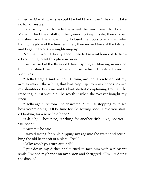mined as Mariah was, she could be held back. Cael? He didn't take no for an answer.

In a panic, I ran to hide the wheel the way I used to do with Mariah. I laid the distaff on the ground to keep it safe, then draped my sheet over the whole thing. I closed the doors of my wardrobe, hiding the glow of the finished linen, then moved toward the kitchen and began nervously straightening up.

Not that it would do any good. I needed several hours of dedicated scrubbing to get this place in order.

Cael paused at the threshold, fresh, spring air blowing in around him. He stared around at my house, which I realized was in shambles.

"Hello Cael," I said without turning around. I stretched out my arm to relieve the aching that had crept up from my hands toward my shoulders. Even my ankles had started complaining from all the treadling, but it would all be worth it when the Weaver bought my linen.

"Hello again, Aurora," he answered. "I'm just stopping by to see how you're doing. It'll be time for the sowing soon. Have you started looking for a new field hand?"

"Oh, uh," I hesitated, reaching for another dish. "No, not yet. I will soon."

"Aurora," he said.

I stayed facing the sink, dipping my rag into the water and scrubbing the old beans off of a plate. "Yes?"

"Why won't you turn around?"

I put down my dishes and turned to face him with a pleasant smile. I wiped my hands on my apron and shrugged. "I'm just doing the dishes."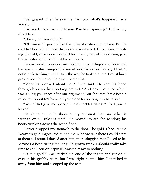Cael gasped when he saw me. "Aurora, what's happened? Are you sick?"

I frowned. "No. Just a little sore. I've been spinning." I rolled my shoulders.

"Have you been eating?"

"Of course!" I gestured at the piles of dishes around me. But he couldn't know that these dishes were weeks old. I had taken to eating the cold, unseasoned vegetables directly out of the canning jars. It was faster, and I could get back to work.

He narrowed his eyes at me, taking in my jutting collar bone and the way my shirt hung off of me at least two sizes too big. I hadn't noticed these things until I saw the way he looked at me. I must have grown very thin over the past few months.

"Mariah's worried about you," Cale said. He ran his hand through his dark hair, looking around. "And now I can see why. I was giving you space after our argument, but that may have been a mistake. I shouldn't have left you alone for so long. I'm so sorry."

"You didn't give me space," I said, hackles rising. "I told you to leave."

He stared at me in shock at my outburst. "Aurora, what is wrong? Wait… what is that?" He moved toward the window, his boots clunking across the wood floor.

Horror dropped my stomach to the floor. The gold. I had left the Weaver's gold ingots laid out on the window sill where I could stare at them as I spun. I darted after him, more sluggish than I used to be. Maybe I'd been sitting too long. I'd grown weak. I should really take time to eat. I couldn't spin if I wasted away to nothing.

"Is this gold?" Cael picked up one of the ingots and turned it over in his grubby palm, but I was right behind him. I snatched it away from him and scooped up the rest.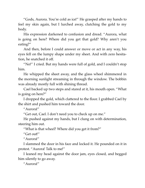"Gods, Aurora. You're cold as ice!" He grasped after my hands to feel my skin again, but I lurched away, clutching the gold to my body.

His expression darkened to confusion and dread. "Aurora, what is going on here? Where did you get that gold? Why aren't you eating?"

And then, before I could answer or move or act in any way, his eyes fell on the lumpy shape under my sheet. And with zero hesitation, he snatched it off.

"No!" I cried. But my hands were full of gold, and I couldn't stop him.

He whipped the sheet away, and the glass wheel shimmered in the morning sunlight streaming in through the window. The bobbin was already mostly full with shining thread.

Cael backed up two steps and stared at it, his mouth open. "What is going on here?"

I dropped the gold, which clattered to the floor. I grabbed Cael by the shirt and pushed him toward the door.

"Aurora!"

"Get out, Cael. I don't need you to check up on me."

He pushed against my hands, but I clung on with determination, steering him out.

"What is that wheel? Where did you get it from?"

"Get out!"

"Aurora!"

I slammed the door in his face and locked it. He pounded on it in protest. "Aurora! Talk to me!"

I leaned my head against the door jam, eyes closed, and begged him silently to go away.

"Aurora!"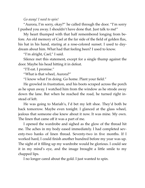#### *Go away! I need to spin!*

"Aurora, I'm sorry, okay?" he called through the door. "I'm sorry I pushed you away. I shouldn't have done that. Just talk to me!"

My heart thumped with that half remembered longing from before. An old memory of Cael at the far side of the field of golden flax, his hat in his hand, staring at a rose-colored sunset. I used to daydream about him. What had that feeling been? I used to know.

"I'm alright, Cael," I said.

Silence met this statement, except for a single thump against the door. Maybe his head hitting it in defeat.

"I'll eat. I promise."

"What is that wheel, Aurora?"

"I know what I'm doing. Go home. Plant your field."

He growled in frustration, and his boots scraped across the porch as he spun away. I watched him from the window as he strode away down the lane. But when he reached the road, he turned right instead of left.

He was going to Mariah's, I'd bet my left shoe. They'd both be back tomorrow. Maybe even tonight. I glanced at the glass wheel, jealous that someone else knew about it now. It was mine. My own. The linen that came off it was a part of me.

I opened the wardrobe and sighed as the glow of the thread hit me. The aches in my body eased immediately. I had completed seventy-two hanks of linen thread. Seventy-two in five months. If I worked hard, I could finish another hundred before my year was up. The sight of it filling up my wardrobe would be glorious. I could see it in my mind's eye, and the image brought a little smile to my chapped lips.

I no longer cared about the gold. I just wanted to spin.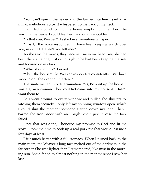"You can't spin if the healer and the farmer interfere," said a familiar, melodious voice. It whispered up the back of my neck.

I whirled around to find the house empty. But I felt her. The warmth, the peace. I could feel her hand on my shoulder.

"Is that you, Weaver?" I asked in a tremulous whisper.

"It is I," the voice responded. "I have been keeping watch over you, my child. Haven't you felt me?"

As she said the words, they became true in my head. Yes, she had been there all along, just out of sight. She had been keeping me safe and focused on my task.

"What should I do?" I asked.

"Shut the house," the Weaver responded confidently. "We have work to do. They cannot interfere."

The smile melted into determination. Yes, I'd shut up the house. I was a grown woman. They couldn't come into my house if I didn't want them to.

So I went around to every window and pulled the shutters to, latching them securely. I only left my spinning window open, which I could shut the moment someone started down my lane. Then I barred the front door with an upright chair, just in case the lock failed.

Once that was done, I honored my promise to Cael and lit the stove. I took the time to cook up a real pork pie that would last me a few days at least.

I felt much better with a full stomach. When I turned back to the main room, the Weaver's long face melted out of the darkness in the far corner. She was lighter than I remembered, like mist in the morning sun. She'd faded to almost nothing in the months since I saw her last.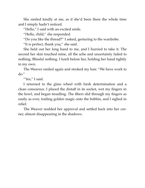She smiled kindly at me, as if she'd been there the whole time and I simply hadn't noticed.

"Hello," I said with an excited smile.

"Hello, child," she responded.

"Do you like the thread?" I asked, gesturing to the wardrobe.

"It is perfect, thank you," she said.

She held out her long hand to me, and I hurried to take it. The second her skin touched mine, all the ache and uncertainty faded to nothing. Blissful nothing. I knelt before her, holding her hand tightly in my own.

The Weaver smiled again and stroked my hair. "We have work to do."

"Yes," I said.

I returned to the glass wheel with fresh determination and a clean conscience. I placed the distaff in its socket, wet my fingers in the bowl, and began treadling. The fibers slid through my fingers as easily as ever, trailing golden magic onto the bobbin, and I sighed in relief.

The Weaver nodded her approval and settled back into her corner, almost disappearing in the shadows.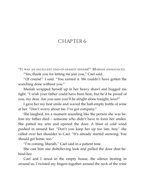## <span id="page-33-0"></span>CHAPTER 6

"IT WAS AN EXCELLENT END-OF-SEASON DINNER!" MARIAH ANNOUNCED.

"Yes, thank you for letting me join you," Cael said.

"Of course!" I said. "You earned it. We couldn't have gotten the scutching done without you."

Mariah wrapped herself up in her heavy shawl and hugged me tight. "I wish your father could have been here, but he'd be proud of you, my dear. Are you sure you'll be alright alone tonight, love?"

I gave her my best smile and waved the half-empty bottle of wine at her. "Don't worry about me. I've got company."

She laughed, for a moment sounding like the person she was before my father died – someone who didn't have to force her smiles. She patted my arm and opened the door. A blast of cold wind pushed in around her. "Don't you keep her up too late, boy," she called over her shoulder to Cael. "It's already started snowing. You should get home, too."

"I'm coming, Mariah," Cael said in a patient tone.

She cast him one disbelieving look and pulled the door shut behind her.

Cael and I stood in the empty house, the silence beating in around us. I twisted my fingers together around the neck of the wine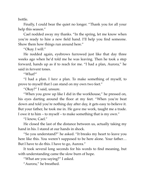bottle.

Finally, I could bear the quiet no longer. "Thank you for all your help this season."

Cael nodded away my thanks. "In the spring, let me know when you're ready to hire a new field hand. I'll help you find someone. Show them how things run around here."

"Okay. I will."

He nodded again, eyebrows furrowed just like that day three weeks ago when he'd told me he was leaving. Then he took a step forward, hands up as if to reach for me. "I had a plan, Aurora," he said in fervent tones.

"What?"

"I had a plan. I *have* a plan. To make something of myself, to prove to myself that I can stand on my own two feet."

"Okay?" I said, unsure.

"When you grow up like I did in the workhouse," he pressed on, his eyes darting around the floor at my feet. "When you're beat down and told you're nothing day after day, it gets easy to believe it. But your father, he took me in. He gave me work, taught me a trade. I owe it to him – to myself – to make something that is my own."

"I know, Cael."

He closed the last of the distance between us, actually taking my hand in his. I stared at our hands in shock.

"So you understand?" he asked. "It breaks my heart to leave you here like this. You weren't supposed to be here alone. Your father… But I have to do this. I have to go, Aurora."

It took several long seconds for his words to find meaning, but with understanding came the slow burn of hope.

"What are you saying?" I asked.

"Aurora," he breathed.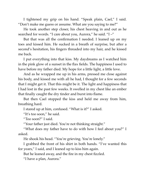I tightened my grip on his hand. "Speak plain, Cael," I said. "Don't make me guess or assume. What are you saying to me?"

He took another step closer, his chest heaving in and out as he searched for words. "I care about you, Aurora," he said. "I –"

But that was all the confirmation I needed. I leaned up on my toes and kissed him. He sucked in a breath of surprise, but after a second's hesitation, his fingers threaded into my hair, and he kissed me back.

I put everything into that kiss. My daydreams as I watched him in the pink glow of a sunset in the flax fields. The happiness I used to have before my father died. My hope for a little light, a little love.

And as he wrapped me up in his arms, pressed me close against his body, and kissed me with all he had, I thought for a few seconds that I might get it. That this might be it. The light and happiness that I had lost in the past few weeks. It swelled in my chest like an ember that finally caught the dry tinder and burst into flame.

But then Cael stopped the kiss and held me away from him, breathing hard.

I stared up at him, confused. "What is it?" I asked.

"It's too soon," he said.

"Too soon?" I said.

"Your father just died. You're not thinking straight."

"What does my father have to do with how I feel about you?" I asked.

He shook his head. "You're grieving. You're lonely."

I grabbed the front of his shirt in both hands. "I've wanted this for years," I said, and I leaned up to kiss him again.

But he leaned away, and the fire in my chest fizzled.

"I have a plan, Aurora."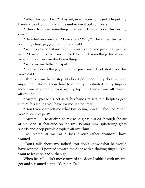"What, for your farm?" I asked, even more confused. He put my hands away from him, and the ember went out completely.

"I have to make something of myself. I have to do this on my own."

"Do what on your own? Live alone? Why?" The ember turned to ice in my chest, jagged, painful, and cold.

"You don't understand what it was like for me growing up," he said. "I need this, Aurora. I need to build something for myself. Where I don't owe anybody anything."

"You owe my father," I spat.

"I earned everything your father gave me," Cael shot back, his voice cold.

I shrank away half a step. My heart pounded in my chest with an anger that I didn't know how to quantify. It vibrated in my fingers, took away my breath, drew up my top lip. It took away all reason, all caution.

"Aurora, please," Cael said, his hands raised in a helpless gesture. "This feeling you have for me, it's not real."

"Don't you dare tell me what I'm feeling, Cael!" I shouted. "As if you're some expert!"

"Aurora…" He ducked as my wine glass hurled through the air at his head. It shattered on the wall behind him, splattering glass shards and deep purple droplets all over him.

Cael stared at me, at a loss. "Your father wouldn't have wanted…"

"Don't talk about my father! You don't know what he would have wanted." I pointed toward the door with a shaking finger. "You want to leave so badly, then go!"

When he still didn't move toward the door, I jabbed with my finger and screamed again. "Get out, Cael!"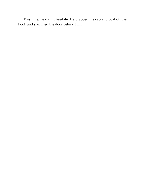This time, he didn't hesitate. He grabbed his cap and coat off the hook and slammed the door behind him.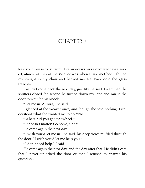#### <span id="page-38-0"></span>CHAPTER 7

REALITY CAME BACK SLOWLY. THE MEMORIES WERE GROWING MORE FADed, almost as thin as the Weaver was when I first met her. I shifted my weight in my chair and heaved my feet back onto the glass treadles.

Cael did come back the next day, just like he said. I slammed the shutters closed the second he turned down my lane and ran to the door to wait for his knock.

"Let me in, Aurora," he said.

I glanced at the Weaver once, and though she said nothing, I understood what she wanted me to do. "No."

"Where did you get that wheel?"

"It doesn't matter! Go home, Cael!"

He came again the next day.

"I wish you'd let me in," he said, his deep voice muffled through the door. "I wish you'd let me help you."

"I don't need help," I said.

He came again the next day, and the day after that. He didn't care that I never unlocked the door or that I refused to answer his questions.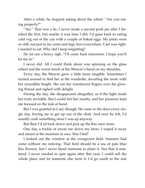After a while, he stopped asking about the wheel. "Are you eating properly?"

"Yes." That was a lie. I never made a second pork pie after I finished the first, but maybe it was time I did. I'd gone back to eating cold veg out of the can with a couple of baked eggs. My joints were so stiff, not just in my arms and legs, but everywhere. Cael was right. I needed to eat. Why did I keep forgetting?

He let out a heavy sigh. "I'll come back tomorrow. I hope you'll let me in."

I never did. All I could think about was spinning on the glass wheel and the warm touch of the Weaver's hand on my shoulder.

Every day, the Weaver grew a little more tangible. Sometimes I turned around to find her at the wardrobe, dwarfing the room with her incredible height. She ran her translucent fingers over the glowing thread and sighed with delight.

During the day, she disappeared altogether, as if the light made her truly invisible. But I could feel her nearby, and her presence kept me focused on the task at hand.

But I was grateful to Cael, though. He came to the door every single day, forcing me to get up out of the chair. And once he left, I'd usually cook something since I was up anyway.

But then I'd sit back down and pick up the flax once more.

One day, a trickle of sweat ran down my brow. I wiped it away and stared at the moisture in awe. Was I hot?

I looked out the window at the overgrown field. Summer had come without me noticing. That field should be a sea of pale blue flax flowers, but I never hired someone to plant it. Not that it mattered. I never needed to spin again after this year. I could sell the whole place and let someone else farm it. I'd go south to the real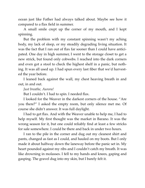ocean just like Father had always talked about. Maybe see how it compared to a flax field in summer.

A small smile crept up the corner of my mouth, and I kept spinning.

But the problem with my constant spinning wasn't my aching body, my lack of sleep, or my steadily degrading living situation. It was the fact that I ran out of flax far sooner than I could have anticipated. One day in high summer, I went to the storage closet to get a new strick, but found only cobwebs. I reached into the dark corners and even got a stool to check the highest shelf in a panic, but nothing. It was all used up. I had spun every last fiber that we'd harvested the year before.

I leaned back against the wall, my chest heaving breath in and out, in and out.

*Just breathe, Aurora!*

But I couldn't. I had to spin. I needed flax.

I looked for the Weaver in the darkest corners of the house. "Are you there?" I asked the empty room, but only silence met me. Of course she didn't answer. It was full daylight.

I had to get flax. And with the Weaver unable to help me, I had to help myself. My first thought was the market in Barano. It was the wrong season for it, but one could reliably find at least a few stricks for sale somewhere. I could be there and back in under two hours.

I ran to the pile in the corner and dug out my cleanest shirt and pants, changed as fast as I could, and hauled on my boots. But I only made it about halfway down the laneway before the panic set in. My heart pounded against my ribs and I couldn't catch my breath. It was like drowning in molasses. I fell to my hands and knees, gaping and gasping. The gravel dug into my skin, but I barely felt it.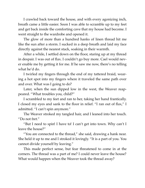I crawled back toward the house, and with every agonizing inch, breath came a little easier. Soon I was able to scramble up to my feet and get back inside the comforting cave that my house had become. I went straight to the wardrobe and opened it.

The glow of more than a hundred hanks of linen thread hit me like the sun after a storm. I sucked in a deep breath and laid my face directly against the nearest stack, soaking in their warmth.

After a while, I settled down on the floor, staring up at my thread in despair. I was out of flax. I couldn't go buy more. Cael would never enable me by getting it for me. If he saw me now, there's no telling what he'd do.

I twirled my fingers through the end of my tattered braid, wearing a hot spot into my fingers where it traveled the same path over and over. What was I going to do?

Later, when the sun dipped low in the west, the Weaver reappeared. "What troubles you, child?"

I scrambled to my feet and ran to her, taking her hand frantically. I closed my eyes and sank to the floor in relief. "I ran out of flax," I admitted. "I can't spin anymore."

The Weaver stroked my tangled hair, and I leaned into her touch. "Do not fret."

"But I need to spin! I have to! I can't get into town. Why can't I leave the house?"

"You are connected to the thread," she said, drawing a hank near. She held it up to me and I stroked it lovingly. "It is a part of you. You cannot divide yourself by leaving."

This made perfect sense, but fear threatened to come in at the corners. The thread was a part of me? I could never leave the house? What would happen when the Weaver took the thread away?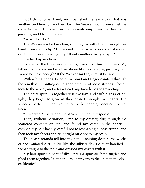But I clung to her hand, and I banished the fear away. That was another problem for another day. The Weaver would never let me come to harm. I focused on the heavenly emptiness that her touch gave me, and I forgot to fear.

"What do I do?"

The Weaver stroked my hair, running my ratty braid through her hand from root to tip. "It does not matter what you spin," she said, catching my eye meaningfully. "It only matters that you spin."

She held up my braid.

I stared at the braid in my hands, like dark, thin flax fibers. My father had always said my hair shone like flax. Maybe, just maybe it would be close enough? If the Weaver said so, it must be true.

With aching hands, I undid my braid and finger combed through the length of it, pulling out a good amount of loose strands. These I took to the wheel, and after a steadying breath, began treadeling.

The hairs spun up together just like flax, and with a gasp of delight, they began to glow as they passed through my fingers. The smooth, perfect thread wound onto the bobbin, identical to real linen.

"It worked!" I said, and the Weaver smiled in response.

Then, without hesitation, I ran to my dresser, dug through the scattered contents on top, and found my comb in the debris. I combed my hair hastily, careful not to lose a single loose strand, and then took my sheers and cut it right off close to my scalp.

The heavy strands fell into my hands, shining despite the weeks of accumulated dirt. It felt like the silkiest flax I'd ever handled. I went straight to the table and dressed my distaff with it.

My hair spun up beautifully. Once I'd spun all three singles and plied them together, I compared the hair yarn to the linen in the closet. Identical.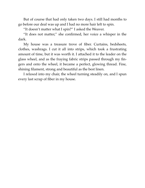But of course that had only taken two days. I still had months to go before our deal was up and I had no more hair left to spin.

"It doesn't matter what I spin?" I asked the Weaver.

"It does not matter," she confirmed, her voice a whisper in the dark.

My house was a treasure trove of fiber. Curtains, bedsheets, clothes, washrags. I cut it all into strips, which took a frustrating amount of time, but it was worth it. I attached it to the leader on the glass wheel, and as the fraying fabric strips passed through my fingers and onto the wheel, it became a perfect, glowing thread. Fine, shining filament, strong and beautiful as the best linen.

I relaxed into my chair, the wheel turning steadily on, and I spun every last scrap of fiber in my house.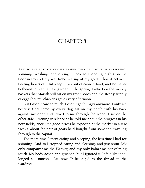### <span id="page-44-0"></span>CHAPTER 8

AND SO THE LAST OF SUMMER PASSED AWAY IN <sup>A</sup> BLUR OF SHREDDING, spinning, washing, and drying. I took to spending nights on the floor in front of my wardrobe, staring at my golden hoard between fleeting hours of fitful sleep. I ran out of canned food, and I'd never bothered to plant a new garden in the spring. I relied on the weekly baskets that Mariah still sat on my front porch and the steady supply of eggs that my chickens gave every afternoon.

But I didn't care so much. I didn't get hungry anymore. I only ate because Cael came by every day, sat on my porch with his back against my door, and talked to me through the wood. I sat on the other side, listening in silence as he told me about the progress in his new fields, about the good prices he expected at the market in a few weeks, about the pair of goats he'd bought from someone traveling through to the capital.

The more time I spent eating and sleeping, the less time I had for spinning. And so I stopped eating and sleeping, and just spun. My only company was the Weaver, and my only balm was her calming touch. My body ached and groaned, but I ignored it. It felt like it belonged to someone else now. It belonged to the thread in the wardrobe.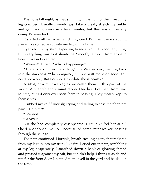Then one fall night, as I sat spinning in the light of the thread, my leg cramped. Usually I would just take a break, stretch my ankle, and get back to work in a few minutes, but this was unlike any cramp I'd ever had.

It started with an ache, which I ignored. But then came stabbing pains, like someone cut into my leg with a knife.

I yanked up my skirt, expecting to see a wound, blood, anything. But everything was as it should be. Smooth, fair skin from ankle to knee. It wasn't even red.

"Weaver!" I cried. "What's happening?"

"There is a sibyl in the village," the Weaver said, melting back into the darkness. "She is injured, but she will move on soon. You need not worry. But I cannot stay while she is nearby."

A sibyl, or a mindwalker, as we called them in this part of the world. A telepath and a mind reader. One heard of them from time to time, but I'd only ever seen them in passing. They mostly kept to themselves.

I rubbed my calf furiously, trying and failing to ease the phantom pain. "Help me!"

"I cannot."

"Weaver!"

But she had completely disappeared. I couldn't feel her at all. She'd abandoned me. All because of some mindwalker passing through the village.

The pain continued. Horrible, breath-stealing agony that radiated from my leg up into my trunk like fire. I cried out in pain, scrabbling at my leg desperately. I snatched down a hank of glowing thread and pressed it against my calf, but it didn't help. I threw it aside and ran for the front door. I hopped to the well in the yard and hauled on the rope.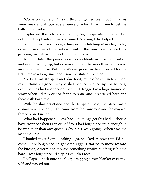"Come on, come on!" I said through gritted teeth, but my arms were weak and it took every ounce of effort I had in me to get the half-full bucket up.

I splashed the cold water on my leg, desperate for relief, but nothing. The phantom pain continued. Nothing I did helped.

So I hobbled back inside, whimpering, clutching at my leg, to lay down in my nest of blankets in front of the wardrobe. I curled up, gripping my calf as tight as I could, and cried.

An hour later, the pain stopped as suddenly as it began. I sat up and examined my leg, but no mark marred the smooth skin. I looked around at the house. With the Weaver gone, my head cleared for the first time in a long time, and I saw the state of the place.

My bed was stripped and shredded, my clothes entirely ruined, my curtains all gone. Dirty dishes had been piled up for so long, even the flies had abandoned them. I'd dragged in a huge mound of straw when I'd run out of fabric to spin, and it skittered here and there with barn mice.

With the shutters closed and the lamps all cold, the place was a dismal cave. The only light came from the wardrobe and the magical thread stored inside.

What had happened? How had I let things get this bad? I should have stopped when I ran out of flax. I had long since spun enough to be wealthier than any queen. Why did I keep going? When was the last time I ate?

I hauled myself onto shaking legs, shocked at how thin I'd become. How long since I'd gathered eggs? I started to move toward the kitchen, determined to wash something finally, but fatigue hit me hard. How long since I'd slept? I couldn't recall.

I collapsed back onto the floor, dragging a torn blanket over myself, and passed out.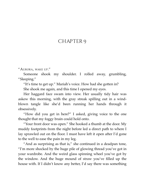### <span id="page-47-0"></span>CHAPTER 9

"AURORA, WAKE UP."

Someone shook my shoulder. I rolled away, grumbling, "Sleeping."

"It's time to get up." Mariah's voice. How had she gotten in? She shook me again, and this time I opened my eyes.

Her haggard face swam into view. Her usually tidy hair was askew this morning, with the gray streak spilling out in a windblown tangle like she'd been running her hands through it obsessively.

"How did you get in here?" I asked, giving voice to the one thought that my foggy brain could hold onto.

"Your front door was open." She hooked a thumb at the door. My muddy footprints from the night before led a direct path to where I lay sprawled out on the floor. I must have left it open after I'd gone to the well to ease the pain in my leg.

"And as surprising as that is," she continued in a deadpan tone, "I'm more shocked by the huge pile of glowing thread you've got in your wardrobe. And the weird glass spinning wheel you've got by the window. And the huge mound of straw you've filled up the house with. If I didn't know any better, I'd say there was something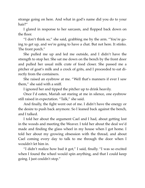strange going on here. And what in god's name did you do to your hair?"

I glared in response to her sarcasm, and flopped back down on the floor.

"I don't think so," she said, grabbing me by the arm. "You're going to get up, and we're going to have a chat. But not here. It stinks. The front porch."

She pulled me up and led me outside, and I didn't have the strength to stop her. She sat me down on the bench by the front door and pulled her usual milk crate of food closer. She passed me a pitcher of goat's milk and a crock of grits, and I proceeded to eat directly from the containers.

She raised an eyebrow at me. "Well that's manners if ever I saw them," she said with a sniff.

I ignored her and tipped the pitcher up to drink heavily.

Once I'd eaten, Mariah sat staring at me in silence, one eyebrow still raised in expectation. "Talk," she said.

And finally, the fight went out of me. I didn't have the energy or the desire to push back anymore. So I leaned back against the bench, and I talked.

I told her about the argument Cael and I had, about getting lost in the woods and meeting the Weaver. I told her about the deal we'd made and finding the glass wheel in my house when I got home. I told her about my growing obsession with the thread, and about Cael coming every day to talk to me through the door when I wouldn't let him in.

"I didn't realize how bad it got," I said, finally. "I was so excited when I found the wheel would spin anything, and that I could keep going. I just couldn't stop."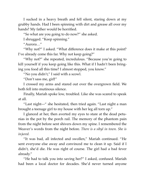I sucked in a heavy breath and fell silent, staring down at my grubby hands. Had I been spinning with dirt and grease all over my hands? My father would be horrified.

"So what are you going to do now?" she asked.

I shrugged. "Keep spinning."

"Aurora…"

"Why not?" I asked. "What difference does it make at this point? I've already come this far. Why not keep going?"

"Why not?" she repeated, incredulous. "Because you're going to kill yourself if you keep going like this. What if I hadn't been bringing you food all this time? I almost stopped, you know."

"No you didn't," I said with a scowl.

"Don't sass me, girl!"

I crossed my arms and stared out over the overgrown field. We both fell into mutinous silence.

Finally, Mariah spoke low, troubled. Like she was scared to speak at all.

"Last night—" she hesitated, then tried again. "Last night a man brought a teenage girl to my house with her leg all torn up."

I glanced at her, then averted my eyes to stare at the dead petunias in the pot by the porch rail. The memory of the phantom pain from the night before sent shivers down my spine. I remembered the Weaver's words from the night before. *There is a sibyl in town. She is injured.*

"It was bad, all infected and swollen," Mariah continued. "He sent everyone else away and convinced me to clean it up. Said if I didn't, she'd die. He was right of course. The girl had a bad fever already."

"He had to talk you into saving her?" I asked, confused. Mariah had been a local doctor for decades. She'd never turned anyone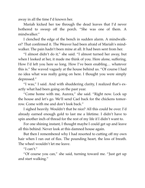away in all the time I'd known her.

Mariah kicked her toe through the dead leaves that I'd never bothered to sweep off the porch. "She was one of them. A mindwalker."

I clenched the edge of the bench in sudden alarm. A mindwalker? That confirmed it. The Weaver had been afraid of Mariah's mindwalker. The pain hadn't been mine at all. It had been sent from her.

"I almost didn't do it," she said. "I almost turned her away, but when I looked at her, it made me think of you. Here alone, suffering. How I'd left you here so long. How I've been enabling… whatever this is." She waved vaguely at the house behind us. "Of course I had no idea what was really going on here. I thought you were simply depressed."

"I was," I said. And with shuddering clarity, I realized that's exactly what had been going on the past year.

"Come home with me, Aurora," she said. "Right now. Lock up the house and let's go. We'll send Cael back for the chickens tomorrow. Come with me and don't look back."

I sighed heavily. Wouldn't that be nice? All this could be over. I'd already earned enough gold to last me a lifetime. I didn't have to spin another inch of thread for the rest of my life if I didn't want to.

For one shining instant, I thought maybe I could get up and leave all this behind. Never look at this damned house again.

But then I remembered why I had resorted to cutting off my own hair when I ran out of flax. The pounding heart, the loss of breath. The wheel wouldn't let me leave.

"I can't."

"Of course you can," she said, turning toward me. "Just get up and start walking."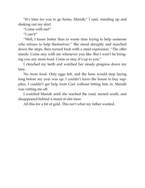"It's time for you to go home, Mariah," I said, standing up and shaking out my skirt.

"Come with me!"

"I can't!"

"Well, I know better than to waste time trying to help someone who refuses to help themselves." She stood abruptly and marched down the steps, then turned back with a staid expression. "The offer stands. Come stay with me whenever you like. But I won't be bringing you any more food. Come or stay, it's up to you."

I clenched my teeth and watched her steady progress down my lane.

No more food. Only eggs left, and the hens would stop laying long before my year was up. I couldn't leave the house to buy supplies. I couldn't get help from Cael without letting him in. Mariah was cutting me off.

I watched Mariah until she reached the road, turned south, and disappeared behind a stand of elm trees

All this for a bit of gold. This isn't what my father wanted.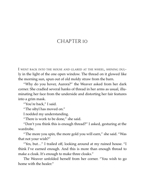#### <span id="page-52-0"></span>CHAPTER IO

I WENT BACK INTO THE HOUSE AND GLARED AT THE WHEEL, SHINING DULly in the light of the one open window. The thread on it glowed like the morning sun, spun out of old moldy straw from the barn.

"Why do you hover, Aurora?" the Weaver asked from her dark corner. She cradled several hanks of thread in her arms as usual, illuminating her face from the underside and distorting her fair features into a grim mask.

"You're back," I said.

"The sibyl has moved on."

I nodded my understanding.

"There is work to be done," she said.

"Don't you think this is enough thread?" I asked, gesturing at the wardrobe.

"The more you spin, the more gold you will earn," she said. "Was that not your wish?"

"Yes, but…" I trailed off, looking around at my ruined house. "I think I've earned enough. And this is more than enough thread to make a cloak. It's enough to make three cloaks."

The Weaver unfolded herself from her corner. "You wish to go home with the healer."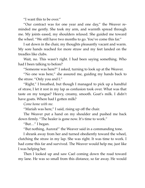"I want this to be over."

"Our contract was for one year and one day," the Weaver reminded me gently. She took my arm, and warmth spread through me. My joints eased, my shoulders relaxed. She guided me toward the wheel. "We still have two months to go. You've come this far."

I sat down in the chair, my thoughts pleasantly vacant and warm. My sore hands reached for more straw and my feet landed on the treadles like clubs.

Wait, no. This wasn't right. I had been saying something. Who had I been talking to before?

"Someone was here?" I asked, turning to look up at the Weaver.

"No one was here," she assured me, guiding my hands back to the straw. "Only you and I."

"Right," I breathed, but though I managed to pick up a handful of straw, I let it rest in my lap as confusion took over. What was that taste on my tongue? Heavy, creamy, smooth. Goat's milk. I didn't have goats. Where had I gotten milk?

*Come home with me.*

"Mariah was here," I said, rising up off the chair.

The Weaver put a hand on my shoulder and pushed me back down firmly. "The healer is gone now. It's time to work."

"But…" I began.

"But nothing, Aurora!" the Weaver said in a commanding tone.

I shrank away from her and turned obediently toward the wheel, clutching the straw in my lap. She was right. It was time to work. I had come this far and survived. The Weaver would help me, just like I was helping her.

Then I looked up and saw Cael coming down the road toward my lane. He was so small from this distance, so far away. He would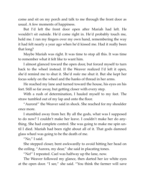come and sit on my porch and talk to me through the front door as usual. A few moments of happiness.

But I'd left the front door open after Mariah had left. He wouldn't sit outside. He'd come right in. He'd probably touch me, hold me. I ran my fingers over my own hand, remembering the way it had felt nearly a year ago when he'd kissed me. Had it really been that long?

Maybe Mariah was right. It was time to stop all this. It was time to remember what it felt like to want him.

I almost glanced toward the open door, but forced myself to turn back to the wheel instead. If the Weaver realized I'd left it open, she'd remind me to shut it. She'd *make* me shut it. But she kept her focus solely on the wheel and the hanks of thread in her arms.

He reached my lane and turned toward the house, his eyes on his feet. Still so far away, but getting closer with every step.

With a rush of determination, I hauled myself to my feet. The straw tumbled out of my lap and onto the floor.

"Aurora!" the Weaver said in shock. She reached for my shoulder once more.

I stumbled away from her. By all the gods, what was I supposed to do now? I couldn't make her leave. I couldn't make her do anything. She had complete control. She was going to make me spin until I died. Mariah had been right about all of it. That gods damned glass wheel was going to be the death of me.

"No," I said.

She stepped closer, bent awkwardly to avoid hitting her head on the ceiling. "Aurora, my dear," she said in placating tones.

"No!" I repeated. Cael was halfway up the lane, now.

The Weaver followed my glance, then darted her ice white eyes at the open door. "I see," she said. "You think the farmer will save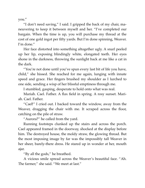you."

"I don't need saving," I said. I gripped the back of my chair, maneuvering to keep it between myself and her. "I've completed our bargain. When the time is up, you will purchase my thread at the cost of one gold ingot per fifty yards. But I'm done spinning, Weaver. I'm done."

Her face distorted into something altogether ugly. A snarl peeled up her lip, exposing blindingly white, elongated teeth. Her eyes shone in the darkness, throwing the sunlight back at me like a cat in the dark.

"You're not done until you've spun every last bit of life you have, child," she hissed. She reached for me again, lunging with innate speed and grace. Her fingers brushed my shoulder as I lurched to one side, sending a wisp of her blissful emptiness through me.

I stumbled, gasping, desperate to hold onto what was real.

Mariah. Cael. Father. A flax field in spring. A rosy sunset. Mariah. Cael. Father.

"Cael!" I cried out. I backed toward the window, away from the Weaver, dragging the chair with me. It scraped across the floor, catching on the pile of straw.

"Aurora?" he called from the yard.

Running footsteps clunked up the stairs and across the porch. Cael appeared framed in the doorway, shocked at the display before him. The destroyed house, the moldy straw, the glowing thread. But the most imposing image by far was the impossibly tall Weaver in her sheer, barely-there dress. He stared up in wonder at her, mouth ajar.

"By all the gods," he breathed.

A vicious smile spread across the Weaver's beautiful face. "Ah. The farmer," she said. "We meet at last."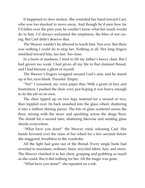It happened in slow motion. She extended her hand toward Cael, who was too shocked to move away. And though he'd seen how far I'd fallen over the past year, he couldn't know what her touch would do to him. I'd always welcomed the emptiness, the bliss of not caring. But Cael didn't deserve that.

The Weaver couldn't be allowed to touch him. Not ever. But there was nothing I could do to stop her. Nothing at all. Her long fingers stretched toward him, too fast. Too close.

In a burst of madness, I tried to lift my father's heavy chair. But I had grown too weak. I had given all my life to that damned thread, and I had become a ghost of myself.

The Weaver's fingers wrapped around Cael's arm, and he stared up at her, eyes blank. Peaceful. Empty.

"No!" I screamed, my voice paper thin. With a grunt of fury and frustration, I pushed the chair over, just hoping it was heavy enough to do the job on its own.

The chair tipped up on two legs, teetered for a second or two, then toppled over. Its back smashed into the glass wheel, shattering it into a million shining pieces. The bits of glass scattered across the floor, mixing with the straw and sparkling across the dingy floor. The distaff hit a second later, shattering likewise and sending glass shards everywhere.

"What have you done!" the Weaver cried, releasing Cael. Her hands hovered over the ruins of her wheel for a few seconds before she staggered, breathless to the wardrobe.

All the light had gone out of the thread. Every single hank had reverted to mundane, ordinary linen, recycled fabric, hair, and straw. The Weaver clutched it to her chest, grasping and grabbing as much as she could. But it did nothing for her. All the magic was gone.

"What have you done?" she repeated on a sob.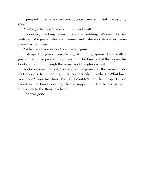I jumped when a warm hand grabbed my arm, but it was only Cael.

"Let's go, Aurora," he said under his breath.

I nodded, backing away from the sobbing Weaver. As we watched, she grew paler and thinner, until she was almost as transparent as her dress.

"What have you done?" she asked again.

I stepped in glass immediately, stumbling against Cael with a gasp of pain. He picked me up and marched me out of the house, his boots crunching through the remains of the glass wheel.

As he carried me out, I stole one last glance at the Weaver. She met my eyes, tears pooling in the corners. She mouthed, "What have you done?" one last time, though I couldn't hear her properly. She faded to the barest outline, then disappeared. The hanks of plain thread fell to the floor in a heap.

She was gone.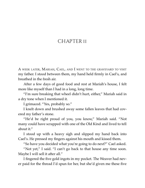### <span id="page-58-0"></span>CHAPTER II

A WEEK LATER, MARIAH, CAEL, AND I WENT TO THE GRAVEYARD TO VISIT my father. I stood between them, my hand held firmly in Cael's, and breathed in the fresh air.

After a few days of good food and rest at Mariah's house, I felt more like myself than I had in a long, long time.

"I'm sure breaking that wheel didn't hurt, either," Mariah said in a dry tone when I mentioned it.

I grimaced. "Yes, probably so."

I knelt down and brushed away some fallen leaves that had covered my father's stone.

"He'd be right proud of you, you know," Mariah said. "Not many could have scrapped with one of the Old Kind and lived to tell about it."

I stood up with a heavy sigh and slipped my hand back into Cael's. He pressed my fingers against his mouth and kissed them.

"So have you decided what you're going to do next?" Cael asked.

"Not yet," I said. "I can't go back to that house any time soon. Maybe I will sell it after all."

I fingered the five gold ingots in my pocket. The Weaver had never paid for the thread I'd spun for her, but she'd given me these five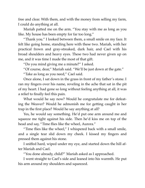free and clear. With them, and with the money from selling my farm, I could do anything at all.

Mariah patted me on the arm. "You stay with me as long as you like. My house has been empty for far too long."

"Thank you." I looked between them, a small smile on my face. It felt like going home, standing here with these two. Mariah, with her practical frown and gray-streaked, dark hair, and Cael with his broad shoulders and heavy eyes. These two had never given up on me, and it was time I made the most of that gift.

"Do you mind giving me a minute?" I asked.

"Of course, dear," Mariah said. "We'll be just down at the gate."

"Take as long as you need," Cael said.

Once alone, I sat down in the grass in front of my father's stone. I ran my fingers over his name, reveling in the ache that sat in the pit of my heart. I had gone so long without feeling anything at all, it was a relief to finally feel this pain.

What would he say now? Would he congratulate me for defeating the Weaver? Would he admonish me for getting caught in her trap in the first place? Would he say anything at all?

Yes, he would say something. He'd put one arm around me and squeeze me tight against his side. Then he'd kiss me on top of the head and say, "Time flies like the wheel, Aurora."

"Time flies like the wheel," I whispered back with a small smile, and a single tear slid down my cheek. I kissed my fingers and pressed them against his stone.

I sniffed hard, wiped under my eye, and started down the hill after Mariah and Cael.

"You done already, child?" Mariah asked as I approached.

I went straight to Cael's side and leaned into his warmth. He put his arm around my shoulders and squeezed.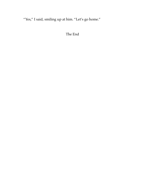"Yes," I said, smiling up at him. "Let's go home."

The End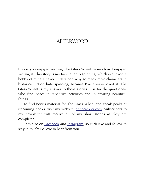# <span id="page-61-0"></span>**AFTERWORD**

I hope you enjoyed reading The Glass Wheel as much as I enjoyed writing it. This story is my love letter to spinning, which is a favorite hobby of mine. I never understood why so many main characters in historical fiction hate spinning, because I've always loved it. The Glass Wheel is my answer to those stories. It is for the quiet ones, who find peace in repetitive activities and in creating beautiful things.

To find bonus material for The Glass Wheel and sneak peaks at upcoming books, visit my website: [annacackler.com.](http://annacackler.com/) Subscribers to my newsletter will receive all of my short stories as they are completed.

I am also on [Facebook](https://www.facebook.com/acackler) and [Instagram,](https://www.instagram.com/annacackler/) so click like and follow to stay in touch! I'd love to hear from you.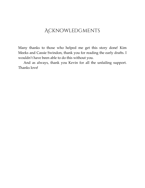# <span id="page-62-0"></span>**ACKNOWLEDGMENTS**

Many thanks to those who helped me get this story done! Kim Meeks and Cassie Swindon, thank you for reading the early drafts. I wouldn't have been able to do this without you.

And as always, thank you Kevin for all the unfailing support. Thanks love!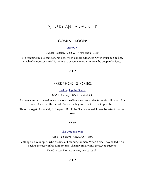#### <span id="page-63-0"></span>Also by Anna Cackler

#### COMING SOON:

#### [Little Owl](https://annacackler.com/the-little-owl/)

*Adult | Fantasy, Romance | Word count ~118k*

 No listening in. No coercion. No lies. When danger advances, Gwen must decide how much of a monster she $\hat{a} \in \mathbb{N}$ s willing to become in order to save the people she loves.



#### FREE SHORT STORIES:

[Waking Up the Giants](https://annacackler.com/subscribe/)

*Adult | Fantasy | Word count ~13.5 k*

Eoghan is certain the old legends about the Giants are just stories from his childhood. But when they find the fabled Clarion, he begins to believe the impossible.

His job is to get Nora safely to the peak. But if the Giants are real, it may be safer to go back down.



[The Dragon's Wife](https://annacackler.com/subscribe/)

*Adult | Fantasy | Word count ~1500*

Calliope is a cave spirit who dreams of becoming human. When a small boy called Arlo seeks sanctuary in her dim caverns, she may finally find the key to success.

*If an Owl could become human, then so could I.*

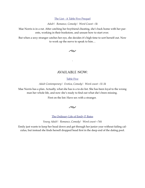[The List - A Table Five Prequel](https://annacackler.com/subscribe/)

*Adult | Romance, Comedy | Word Count ~5k*

Mae Norris is in a rut. After catching her boyfriend cheating, she's back home with her parents, working in their bookstore, and unsure how to start over.

But when a sexy stranger catches her eye, she decides it's high time to sort herself out. Now to work up the nerve to speak to him…



.

#### AVAILABLE NOW:

#### [Table Five](https://annacackler.com/table-five/)

*Adult Contemporary | Erotica, Comedy | Word count ~51.5k*

Mae Norris has a plan. Actually, what she has is a to-do list. She has been loyal to the wrong man her whole life, and now she's ready to find out what she's been missing.

First on the list: Have sex with a stranger.



#### [The Ordinary Life of Emily P. Bates](https://annacackler.com/the-ordinary-life-of-emily-p-bates/)

*Young Adult | Romance, Comedy | Word count ~76k*

Emily just wants to keep her head down and get through her junior year without failing calculus, but instead she finds herself dropped head first in the deep end of the dating pool.